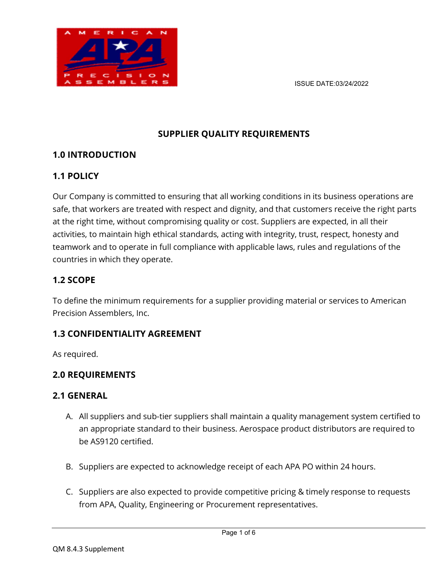

## SUPPLIER QUALITY REQUIREMENTS

### 1.0 INTRODUCTION

## 1.1 POLICY

Our Company is committed to ensuring that all working conditions in its business operations are safe, that workers are treated with respect and dignity, and that customers receive the right parts at the right time, without compromising quality or cost. Suppliers are expected, in all their activities, to maintain high ethical standards, acting with integrity, trust, respect, honesty and teamwork and to operate in full compliance with applicable laws, rules and regulations of the countries in which they operate.

## 1.2 SCOPE

To define the minimum requirements for a supplier providing material or services to American Precision Assemblers, Inc.

## 1.3 CONFIDENTIALITY AGREEMENT

As required.

### 2.0 REQUIREMENTS

#### 2.1 GENERAL

- A. All suppliers and sub-tier suppliers shall maintain a quality management system certified to an appropriate standard to their business. Aerospace product distributors are required to be AS9120 certified.
- B. Suppliers are expected to acknowledge receipt of each APA PO within 24 hours.
- C. Suppliers are also expected to provide competitive pricing & timely response to requests from APA, Quality, Engineering or Procurement representatives.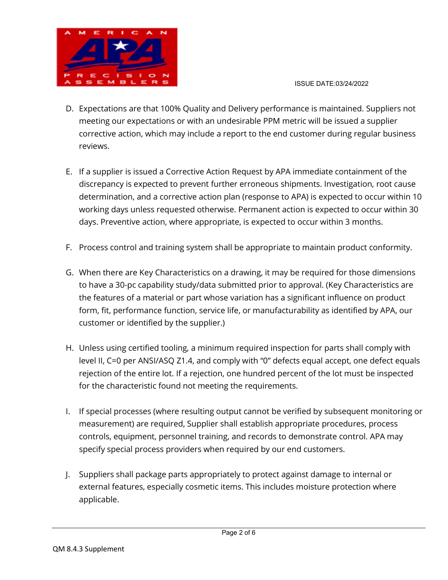

#### ISSUE DATE:03/24/2022

- D. Expectations are that 100% Quality and Delivery performance is maintained. Suppliers not meeting our expectations or with an undesirable PPM metric will be issued a supplier corrective action, which may include a report to the end customer during regular business reviews.
- E. If a supplier is issued a Corrective Action Request by APA immediate containment of the discrepancy is expected to prevent further erroneous shipments. Investigation, root cause determination, and a corrective action plan (response to APA) is expected to occur within 10 working days unless requested otherwise. Permanent action is expected to occur within 30 days. Preventive action, where appropriate, is expected to occur within 3 months.
- F. Process control and training system shall be appropriate to maintain product conformity.
- G. When there are Key Characteristics on a drawing, it may be required for those dimensions to have a 30-pc capability study/data submitted prior to approval. (Key Characteristics are the features of a material or part whose variation has a significant influence on product form, fit, performance function, service life, or manufacturability as identified by APA, our customer or identified by the supplier.)
- H. Unless using certified tooling, a minimum required inspection for parts shall comply with level II, C=0 per ANSI/ASQ Z1.4, and comply with "0" defects equal accept, one defect equals rejection of the entire lot. If a rejection, one hundred percent of the lot must be inspected for the characteristic found not meeting the requirements.
- I. If special processes (where resulting output cannot be verified by subsequent monitoring or measurement) are required, Supplier shall establish appropriate procedures, process controls, equipment, personnel training, and records to demonstrate control. APA may specify special process providers when required by our end customers.
- J. Suppliers shall package parts appropriately to protect against damage to internal or external features, especially cosmetic items. This includes moisture protection where applicable.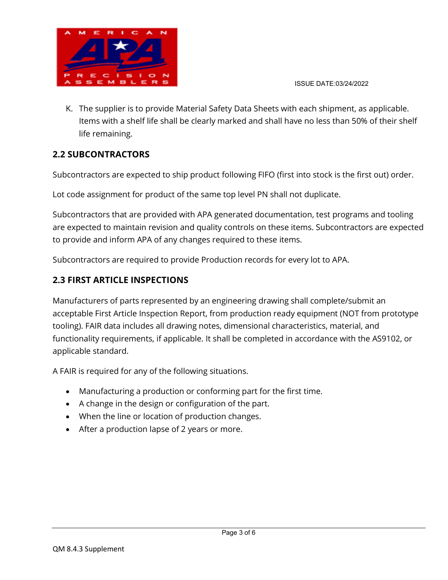

K. The supplier is to provide Material Safety Data Sheets with each shipment, as applicable. Items with a shelf life shall be clearly marked and shall have no less than 50% of their shelf life remaining.

## 2.2 SUBCONTRACTORS

Subcontractors are expected to ship product following FIFO (first into stock is the first out) order.

Lot code assignment for product of the same top level PN shall not duplicate.

Subcontractors that are provided with APA generated documentation, test programs and tooling are expected to maintain revision and quality controls on these items. Subcontractors are expected to provide and inform APA of any changes required to these items.

Subcontractors are required to provide Production records for every lot to APA.

### 2.3 FIRST ARTICLE INSPECTIONS

Manufacturers of parts represented by an engineering drawing shall complete/submit an acceptable First Article Inspection Report, from production ready equipment (NOT from prototype tooling). FAIR data includes all drawing notes, dimensional characteristics, material, and functionality requirements, if applicable. It shall be completed in accordance with the AS9102, or applicable standard.

A FAIR is required for any of the following situations.

- Manufacturing a production or conforming part for the first time.
- A change in the design or configuration of the part.
- When the line or location of production changes.
- After a production lapse of 2 years or more.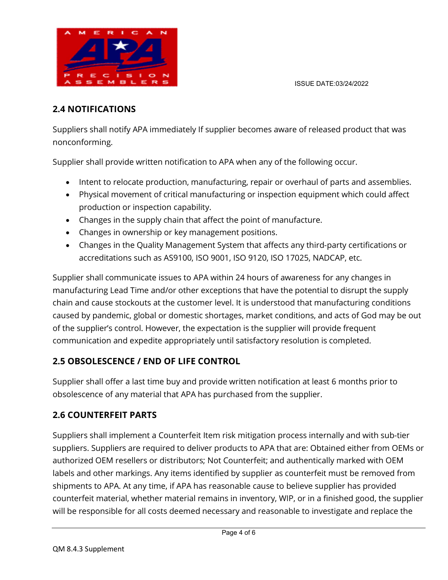

## 2.4 NOTIFICATIONS

Suppliers shall notify APA immediately If supplier becomes aware of released product that was nonconforming.

Supplier shall provide written notification to APA when any of the following occur.

- Intent to relocate production, manufacturing, repair or overhaul of parts and assemblies.
- Physical movement of critical manufacturing or inspection equipment which could affect production or inspection capability.
- Changes in the supply chain that affect the point of manufacture.
- Changes in ownership or key management positions.
- Changes in the Quality Management System that affects any third-party certifications or accreditations such as AS9100, ISO 9001, ISO 9120, ISO 17025, NADCAP, etc.

Supplier shall communicate issues to APA within 24 hours of awareness for any changes in manufacturing Lead Time and/or other exceptions that have the potential to disrupt the supply chain and cause stockouts at the customer level. It is understood that manufacturing conditions caused by pandemic, global or domestic shortages, market conditions, and acts of God may be out of the supplier's control. However, the expectation is the supplier will provide frequent communication and expedite appropriately until satisfactory resolution is completed.

## 2.5 OBSOLESCENCE / END OF LIFE CONTROL

Supplier shall offer a last time buy and provide written notification at least 6 months prior to obsolescence of any material that APA has purchased from the supplier.

### 2.6 COUNTERFEIT PARTS

Suppliers shall implement a Counterfeit Item risk mitigation process internally and with sub-tier suppliers. Suppliers are required to deliver products to APA that are: Obtained either from OEMs or authorized OEM resellers or distributors; Not Counterfeit; and authentically marked with OEM labels and other markings. Any items identified by supplier as counterfeit must be removed from shipments to APA. At any time, if APA has reasonable cause to believe supplier has provided counterfeit material, whether material remains in inventory, WIP, or in a finished good, the supplier will be responsible for all costs deemed necessary and reasonable to investigate and replace the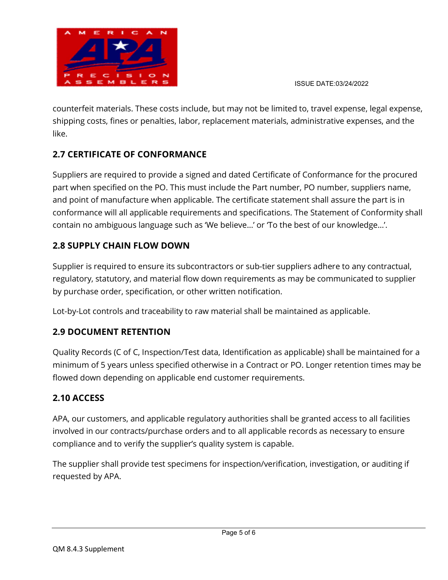

ISSUE DATE:03/24/2022

counterfeit materials. These costs include, but may not be limited to, travel expense, legal expense, shipping costs, fines or penalties, labor, replacement materials, administrative expenses, and the like.

# 2.7 CERTIFICATE OF CONFORMANCE

Suppliers are required to provide a signed and dated Certificate of Conformance for the procured part when specified on the PO. This must include the Part number, PO number, suppliers name, and point of manufacture when applicable. The certificate statement shall assure the part is in conformance will all applicable requirements and specifications. The Statement of Conformity shall contain no ambiguous language such as 'We believe…' or 'To the best of our knowledge…'.

# 2.8 SUPPLY CHAIN FLOW DOWN

Supplier is required to ensure its subcontractors or sub-tier suppliers adhere to any contractual, regulatory, statutory, and material flow down requirements as may be communicated to supplier by purchase order, specification, or other written notification.

Lot-by-Lot controls and traceability to raw material shall be maintained as applicable.

# 2.9 DOCUMENT RETENTION

Quality Records (C of C, Inspection/Test data, Identification as applicable) shall be maintained for a minimum of 5 years unless specified otherwise in a Contract or PO. Longer retention times may be flowed down depending on applicable end customer requirements.

## 2.10 ACCESS

APA, our customers, and applicable regulatory authorities shall be granted access to all facilities involved in our contracts/purchase orders and to all applicable records as necessary to ensure compliance and to verify the supplier's quality system is capable.

The supplier shall provide test specimens for inspection/verification, investigation, or auditing if requested by APA.